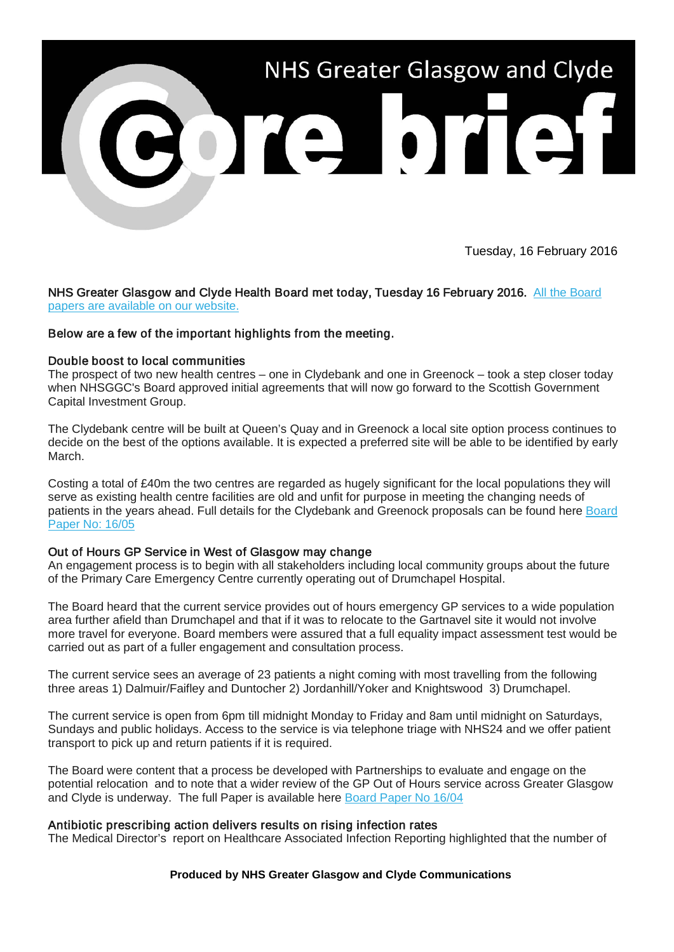

Tuesday, 16 February 2016

NHS Greater Glasgow and Clyde Health Board met today, Tuesday 16 February 2016. All the Board [papers are available on our website.](http://nhsggc.us12.list-manage.com/track/click?u=0f385b5aea37eaf0213bd19fb&id=fe05b89eb8&e=5af5e1832c) 

# Below are a few of the important highlights from the meeting.

## Double boost to local communities

The prospect of two new health centres – one in Clydebank and one in Greenock – took a step closer today when NHSGGC's Board approved initial agreements that will now go forward to the Scottish Government Capital Investment Group.

The Clydebank centre will be built at Queen's Quay and in Greenock a local site option process continues to decide on the best of the options available. It is expected a preferred site will be able to be identified by early March.

Costing a total of £40m the two centres are regarded as hugely significant for the local populations they will serve as existing health centre facilities are old and unfit for purpose in meeting the changing needs of patients in the years ahead. Full details for the Clydebank and Greenock proposals can be found here [Board](http://nhsggc.us12.list-manage.com/track/click?u=0f385b5aea37eaf0213bd19fb&id=76272c9c0d&e=5af5e1832c)  [Paper No: 16/05](http://nhsggc.us12.list-manage.com/track/click?u=0f385b5aea37eaf0213bd19fb&id=76272c9c0d&e=5af5e1832c)

## Out of Hours GP Service in West of Glasgow may change

An engagement process is to begin with all stakeholders including local community groups about the future of the Primary Care Emergency Centre currently operating out of Drumchapel Hospital.

The Board heard that the current service provides out of hours emergency GP services to a wide population area further afield than Drumchapel and that if it was to relocate to the Gartnavel site it would not involve more travel for everyone. Board members were assured that a full equality impact assessment test would be carried out as part of a fuller engagement and consultation process.

The current service sees an average of 23 patients a night coming with most travelling from the following three areas 1) Dalmuir/Faifley and Duntocher 2) Jordanhill/Yoker and Knightswood 3) Drumchapel.

The current service is open from 6pm till midnight Monday to Friday and 8am until midnight on Saturdays, Sundays and public holidays. Access to the service is via telephone triage with NHS24 and we offer patient transport to pick up and return patients if it is required.

The Board were content that a process be developed with Partnerships to evaluate and engage on the potential relocation and to note that a wider review of the GP Out of Hours service across Greater Glasgow and Clyde is underway. The full Paper is available here [Board Paper No 16/04](http://nhsggc.us12.list-manage2.com/track/click?u=0f385b5aea37eaf0213bd19fb&id=a5f587987e&e=5af5e1832c)

## Antibiotic prescribing action delivers results on rising infection rates

The Medical Director's report on Healthcare Associated Infection Reporting highlighted that the number of

**Produced by NHS Greater Glasgow and Clyde Communications**